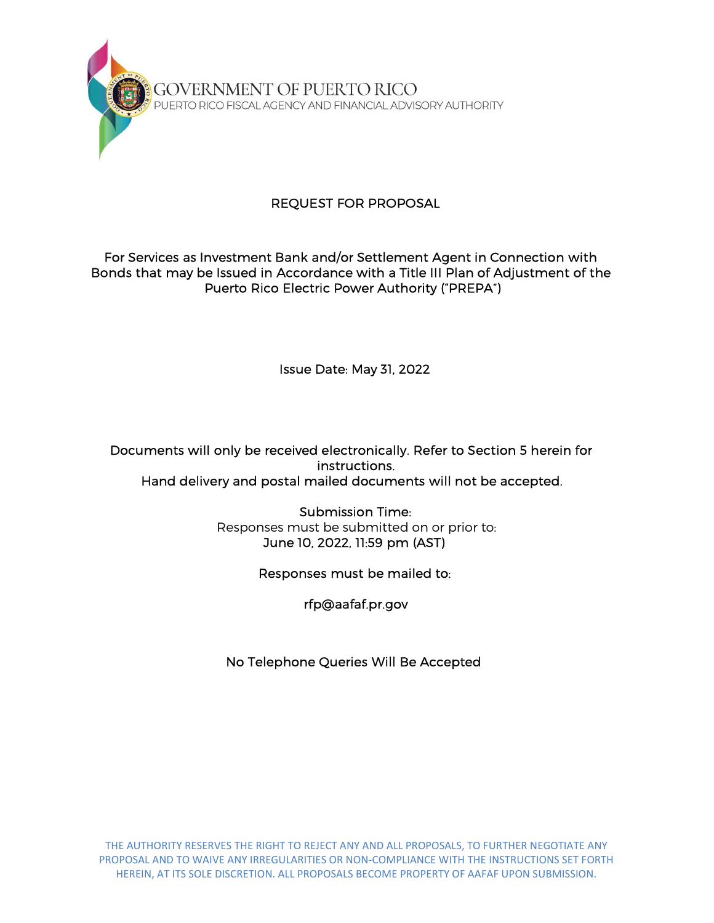

# REQUEST FOR PROPOSAL

## For Services as Investment Bank and/or Settlement Agent in Connection with Bonds that may be Issued in Accordance with a Title III Plan of Adjustment of the Puerto Rico Electric Power Authority ("PREPA")

Issue Date: May 31, 2022

Documents will only be received electronically. Refer to Section 5 herein for instructions. Hand delivery and postal mailed documents will not be accepted.

> Submission Time: Responses must be submitted on or prior to: June 10, 2022, 11:59 pm (AST)

> > Responses must be mailed to:

rfp@aafaf.pr.gov

No Telephone Queries Will Be Accepted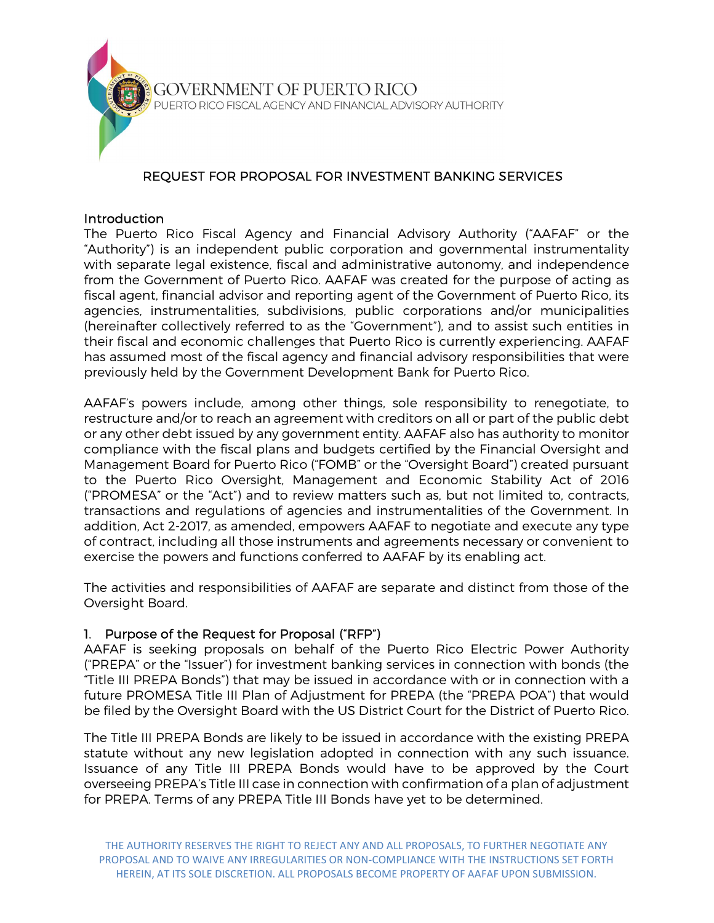

# REQUEST FOR PROPOSAL FOR INVESTMENT BANKING SERVICES

#### **Introduction**

The Puerto Rico Fiscal Agency and Financial Advisory Authority ("AAFAF" or the "Authority") is an independent public corporation and governmental instrumentality with separate legal existence, fiscal and administrative autonomy, and independence from the Government of Puerto Rico. AAFAF was created for the purpose of acting as fiscal agent, financial advisor and reporting agent of the Government of Puerto Rico, its agencies, instrumentalities, subdivisions, public corporations and/or municipalities (hereinafter collectively referred to as the "Government"), and to assist such entities in their fiscal and economic challenges that Puerto Rico is currently experiencing. AAFAF has assumed most of the fiscal agency and financial advisory responsibilities that were previously held by the Government Development Bank for Puerto Rico.

AAFAF's powers include, among other things, sole responsibility to renegotiate, to restructure and/or to reach an agreement with creditors on all or part of the public debt or any other debt issued by any government entity. AAFAF also has authority to monitor compliance with the fiscal plans and budgets certified by the Financial Oversight and Management Board for Puerto Rico ("FOMB" or the "Oversight Board") created pursuant to the Puerto Rico Oversight, Management and Economic Stability Act of 2016 ("PROMESA" or the "Act") and to review matters such as, but not limited to, contracts, transactions and regulations of agencies and instrumentalities of the Government. In addition, Act 2-2017, as amended, empowers AAFAF to negotiate and execute any type of contract, including all those instruments and agreements necessary or convenient to exercise the powers and functions conferred to AAFAF by its enabling act.

The activities and responsibilities of AAFAF are separate and distinct from those of the Oversight Board.

## 1. Purpose of the Request for Proposal ("RFP")

AAFAF is seeking proposals on behalf of the Puerto Rico Electric Power Authority ("PREPA" or the "Issuer") for investment banking services in connection with bonds (the "Title III PREPA Bonds") that may be issued in accordance with or in connection with a future PROMESA Title III Plan of Adjustment for PREPA (the "PREPA POA") that would be filed by the Oversight Board with the US District Court for the District of Puerto Rico.

The Title III PREPA Bonds are likely to be issued in accordance with the existing PREPA statute without any new legislation adopted in connection with any such issuance. Issuance of any Title III PREPA Bonds would have to be approved by the Court overseeing PREPA's Title III case in connection with confirmation of a plan of adjustment for PREPA. Terms of any PREPA Title III Bonds have yet to be determined.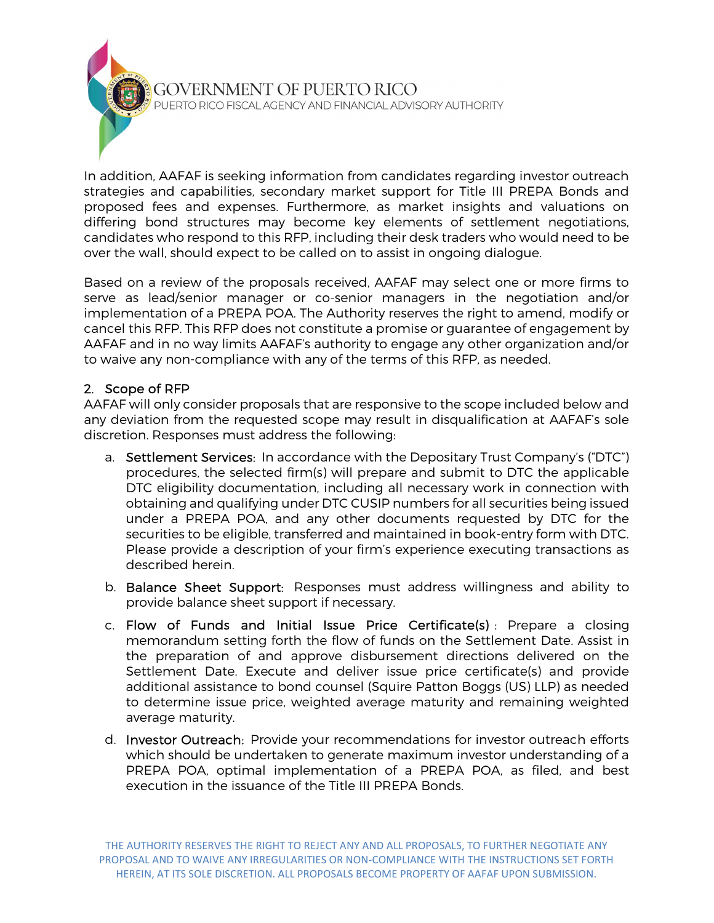

In addition, AAFAF is seeking information from candidates regarding investor outreach strategies and capabilities, secondary market support for Title III PREPA Bonds and proposed fees and expenses. Furthermore, as market insights and valuations on differing bond structures may become key elements of settlement negotiations, candidates who respond to this RFP, including their desk traders who would need to be over the wall, should expect to be called on to assist in ongoing dialogue.

Based on a review of the proposals received, AAFAF may select one or more firms to serve as lead/senior manager or co-senior managers in the negotiation and/or implementation of a PREPA POA. The Authority reserves the right to amend, modify or cancel this RFP. This RFP does not constitute a promise or guarantee of engagement by AAFAF and in no way limits AAFAF's authority to engage any other organization and/or to waive any non-compliance with any of the terms of this RFP, as needed.

# 2. Scope of RFP

AAFAF will only consider proposals that are responsive to the scope included below and any deviation from the requested scope may result in disqualification at AAFAF's sole discretion. Responses must address the following:

- a. Settlement Services: In accordance with the Depositary Trust Company's ("DTC") procedures, the selected firm(s) will prepare and submit to DTC the applicable DTC eligibility documentation, including all necessary work in connection with obtaining and qualifying under DTC CUSIP numbers for all securities being issued under a PREPA POA, and any other documents requested by DTC for the securities to be eligible, transferred and maintained in book-entry form with DTC. Please provide a description of your firm's experience executing transactions as described herein.
- b. Balance Sheet Support: Responses must address willingness and ability to provide balance sheet support if necessary.
- c. Flow of Funds and Initial Issue Price Certificate(s) : Prepare a closing memorandum setting forth the flow of funds on the Settlement Date. Assist in the preparation of and approve disbursement directions delivered on the Settlement Date. Execute and deliver issue price certificate(s) and provide additional assistance to bond counsel (Squire Patton Boggs (US) LLP) as needed to determine issue price, weighted average maturity and remaining weighted average maturity.
- d. Investor Outreach: Provide your recommendations for investor outreach efforts which should be undertaken to generate maximum investor understanding of a PREPA POA, optimal implementation of a PREPA POA, as filed, and best execution in the issuance of the Title III PREPA Bonds.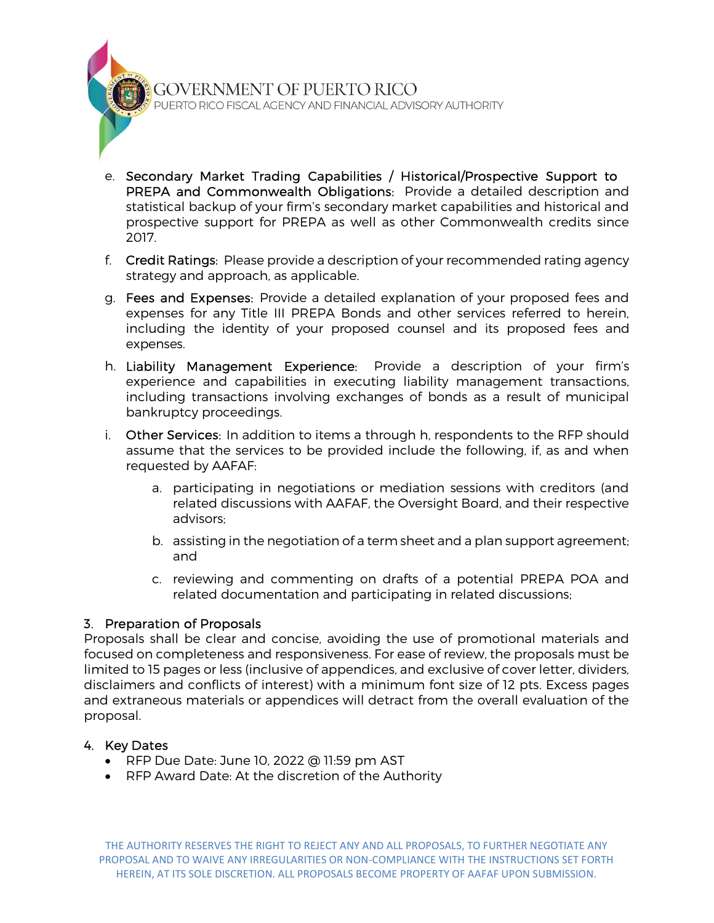GOVERNMENT OF PUERTO RICO PUERTO RICO FISCAL AGENCY AND FINANCIAL ADVISORY AUTHORITY

- e. Secondary Market Trading Capabilities / Historical/Prospective Support to PREPA and Commonwealth Obligations: Provide a detailed description and statistical backup of your firm's secondary market capabilities and historical and prospective support for PREPA as well as other Commonwealth credits since 2017.
- f. Credit Ratings: Please provide a description of your recommended rating agency strategy and approach, as applicable.
- g. Fees and Expenses: Provide a detailed explanation of your proposed fees and expenses for any Title III PREPA Bonds and other services referred to herein, including the identity of your proposed counsel and its proposed fees and expenses.
- h. Liability Management Experience: Provide a description of your firm's experience and capabilities in executing liability management transactions, including transactions involving exchanges of bonds as a result of municipal bankruptcy proceedings.
- i. Other Services: In addition to items a through h, respondents to the RFP should assume that the services to be provided include the following, if, as and when requested by AAFAF:
	- a. participating in negotiations or mediation sessions with creditors (and related discussions with AAFAF, the Oversight Board, and their respective advisors;
	- b. assisting in the negotiation of a term sheet and a plan support agreement; and
	- c. reviewing and commenting on drafts of a potential PREPA POA and related documentation and participating in related discussions;

## 3. Preparation of Proposals

Proposals shall be clear and concise, avoiding the use of promotional materials and focused on completeness and responsiveness. For ease of review, the proposals must be limited to 15 pages or less (inclusive of appendices, and exclusive of cover letter, dividers, disclaimers and conflicts of interest) with a minimum font size of 12 pts. Excess pages and extraneous materials or appendices will detract from the overall evaluation of the proposal.

#### 4. Key Dates

- RFP Due Date: June 10, 2022 @ 11:59 pm AST
- RFP Award Date: At the discretion of the Authority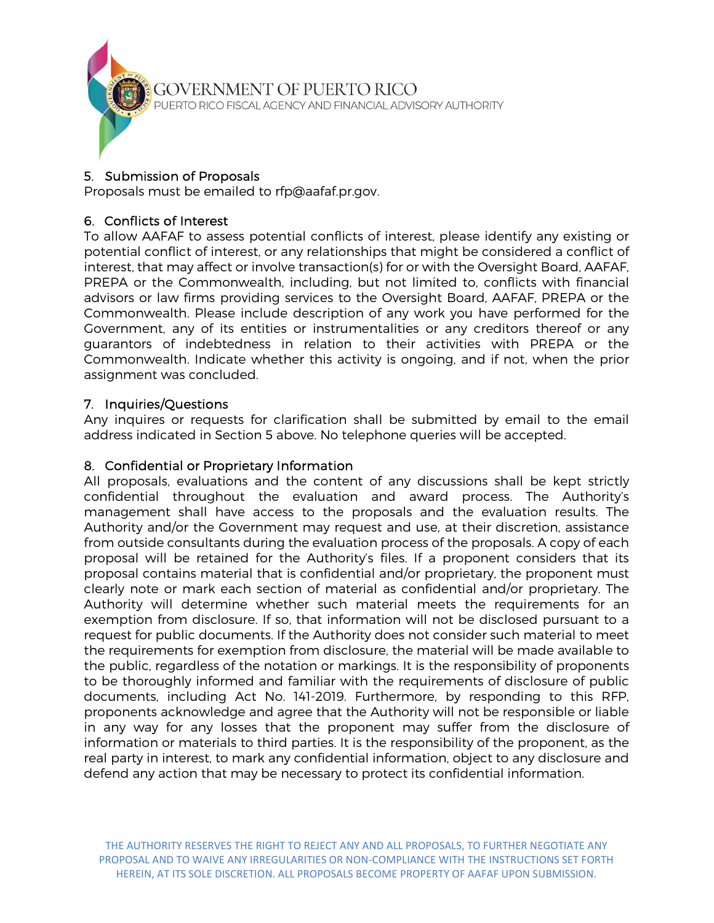

## 5. Submission of Proposals

Proposals must be emailed to rfp@aafaf.pr.gov.

# 6. Conflicts of Interest

To allow AAFAF to assess potential conflicts of interest, please identify any existing or potential conflict of interest, or any relationships that might be considered a conflict of interest, that may affect or involve transaction(s) for or with the Oversight Board, AAFAF, PREPA or the Commonwealth, including, but not limited to, conflicts with financial advisors or law firms providing services to the Oversight Board, AAFAF, PREPA or the Commonwealth. Please include description of any work you have performed for the Government, any of its entities or instrumentalities or any creditors thereof or any guarantors of indebtedness in relation to their activities with PREPA or the Commonwealth. Indicate whether this activity is ongoing, and if not, when the prior assignment was concluded.

# 7. Inquiries/Questions

Any inquires or requests for clarification shall be submitted by email to the email address indicated in Section 5 above. No telephone queries will be accepted.

## 8. Confidential or Proprietary Information

All proposals, evaluations and the content of any discussions shall be kept strictly confidential throughout the evaluation and award process. The Authority's management shall have access to the proposals and the evaluation results. The Authority and/or the Government may request and use, at their discretion, assistance from outside consultants during the evaluation process of the proposals. A copy of each proposal will be retained for the Authority's files. If a proponent considers that its proposal contains material that is confidential and/or proprietary, the proponent must clearly note or mark each section of material as confidential and/or proprietary. The Authority will determine whether such material meets the requirements for an exemption from disclosure. If so, that information will not be disclosed pursuant to a request for public documents. If the Authority does not consider such material to meet the requirements for exemption from disclosure, the material will be made available to the public, regardless of the notation or markings. It is the responsibility of proponents to be thoroughly informed and familiar with the requirements of disclosure of public documents, including Act No. 141-2019. Furthermore, by responding to this RFP, proponents acknowledge and agree that the Authority will not be responsible or liable in any way for any losses that the proponent may suffer from the disclosure of information or materials to third parties. It is the responsibility of the proponent, as the real party in interest, to mark any confidential information, object to any disclosure and defend any action that may be necessary to protect its confidential information.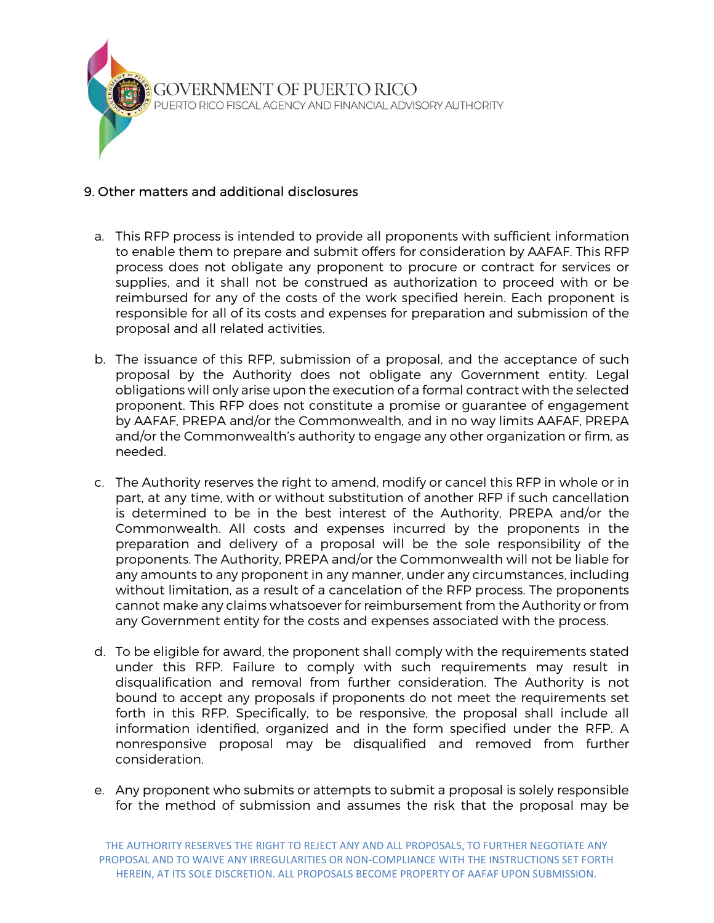

## 9. Other matters and additional disclosures

- a. This RFP process is intended to provide all proponents with sufficient information to enable them to prepare and submit offers for consideration by AAFAF. This RFP process does not obligate any proponent to procure or contract for services or supplies, and it shall not be construed as authorization to proceed with or be reimbursed for any of the costs of the work specified herein. Each proponent is responsible for all of its costs and expenses for preparation and submission of the proposal and all related activities.
- b. The issuance of this RFP, submission of a proposal, and the acceptance of such proposal by the Authority does not obligate any Government entity. Legal obligations will only arise upon the execution of a formal contract with the selected proponent. This RFP does not constitute a promise or guarantee of engagement by AAFAF, PREPA and/or the Commonwealth, and in no way limits AAFAF, PREPA and/or the Commonwealth's authority to engage any other organization or firm, as needed.
- c. The Authority reserves the right to amend, modify or cancel this RFP in whole or in part, at any time, with or without substitution of another RFP if such cancellation is determined to be in the best interest of the Authority, PREPA and/or the Commonwealth. All costs and expenses incurred by the proponents in the preparation and delivery of a proposal will be the sole responsibility of the proponents. The Authority, PREPA and/or the Commonwealth will not be liable for any amounts to any proponent in any manner, under any circumstances, including without limitation, as a result of a cancelation of the RFP process. The proponents cannot make any claims whatsoever for reimbursement from the Authority or from any Government entity for the costs and expenses associated with the process.
- d. To be eligible for award, the proponent shall comply with the requirements stated under this RFP. Failure to comply with such requirements may result in disqualification and removal from further consideration. The Authority is not bound to accept any proposals if proponents do not meet the requirements set forth in this RFP. Specifically, to be responsive, the proposal shall include all information identified, organized and in the form specified under the RFP. A nonresponsive proposal may be disqualified and removed from further consideration.
- e. Any proponent who submits or attempts to submit a proposal is solely responsible for the method of submission and assumes the risk that the proposal may be

THE AUTHORITY RESERVES THE RIGHT TO REJECT ANY AND ALL PROPOSALS, TO FURTHER NEGOTIATE ANY PROPOSAL AND TO WAIVE ANY IRREGULARITIES OR NON-COMPLIANCE WITH THE INSTRUCTIONS SET FORTH HEREIN, AT ITS SOLE DISCRETION. ALL PROPOSALS BECOME PROPERTY OF AAFAF UPON SUBMISSION.